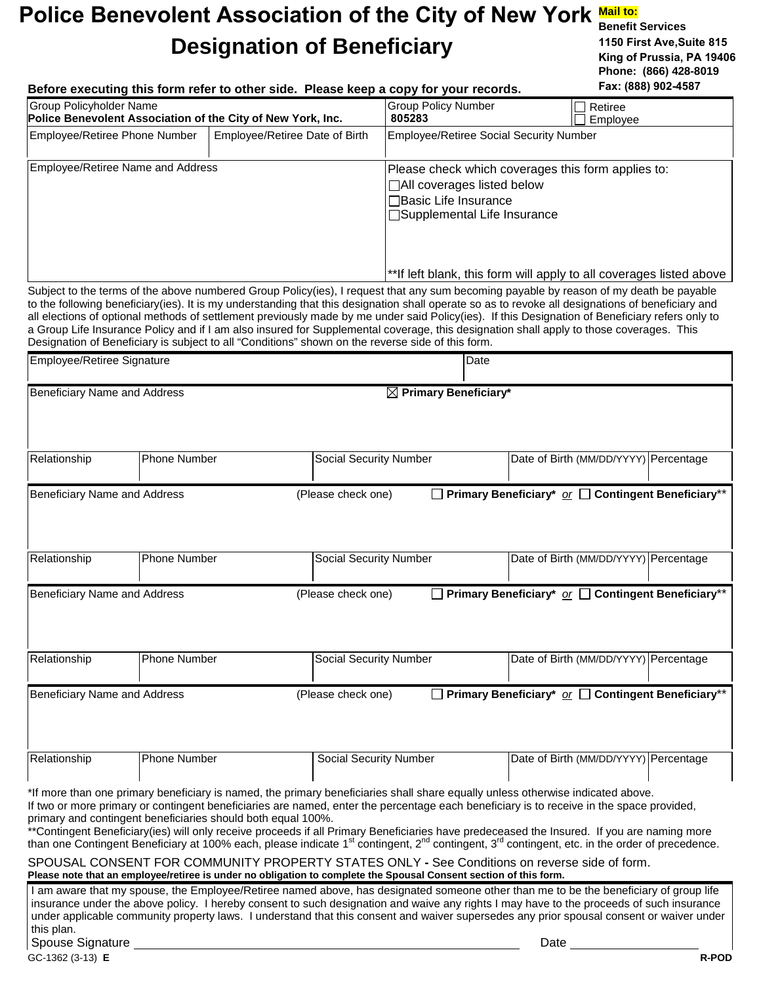## Police Benevolent Association of the City of New York Mail to: **Designation of Beneficiary**

**Benefit Services 1150 First Ave,Suite 815 King of Prussia, PA 19406 Phone: (866) 428-8019** 

| Before executing this form refer to other side. Please keep a copy for your records.                                                                                                                                                                                                            |                                |                                                                                     | Fax: (888) 902-4587                                                                                                                                                                                                                                                                                                                                                                                                                                                                                                                                                                       |  |  |
|-------------------------------------------------------------------------------------------------------------------------------------------------------------------------------------------------------------------------------------------------------------------------------------------------|--------------------------------|-------------------------------------------------------------------------------------|-------------------------------------------------------------------------------------------------------------------------------------------------------------------------------------------------------------------------------------------------------------------------------------------------------------------------------------------------------------------------------------------------------------------------------------------------------------------------------------------------------------------------------------------------------------------------------------------|--|--|
| <b>Group Policyholder Name</b><br>Police Benevolent Association of the City of New York, Inc.                                                                                                                                                                                                   |                                | <b>Group Policy Number</b><br>805283                                                | Retiree<br>Employee                                                                                                                                                                                                                                                                                                                                                                                                                                                                                                                                                                       |  |  |
| Employee/Retiree Phone Number                                                                                                                                                                                                                                                                   | Employee/Retiree Date of Birth | <b>Employee/Retiree Social Security Number</b>                                      |                                                                                                                                                                                                                                                                                                                                                                                                                                                                                                                                                                                           |  |  |
| Employee/Retiree Name and Address                                                                                                                                                                                                                                                               |                                | □All coverages listed below<br>Basic Life Insurance<br>□Supplemental Life Insurance | Please check which coverages this form applies to:                                                                                                                                                                                                                                                                                                                                                                                                                                                                                                                                        |  |  |
|                                                                                                                                                                                                                                                                                                 |                                |                                                                                     | **If left blank, this form will apply to all coverages listed above                                                                                                                                                                                                                                                                                                                                                                                                                                                                                                                       |  |  |
| Designation of Beneficiary is subject to all "Conditions" shown on the reverse side of this form.                                                                                                                                                                                               |                                |                                                                                     | Subject to the terms of the above numbered Group Policy(ies), I request that any sum becoming payable by reason of my death be payable<br>to the following beneficiary(ies). It is my understanding that this designation shall operate so as to revoke all designations of beneficiary and<br>all elections of optional methods of settlement previously made by me under said Policy(ies). If this Designation of Beneficiary refers only to<br>a Group Life Insurance Policy and if I am also insured for Supplemental coverage, this designation shall apply to those coverages. This |  |  |
| Employee/Retiree Signature                                                                                                                                                                                                                                                                      |                                | Date                                                                                |                                                                                                                                                                                                                                                                                                                                                                                                                                                                                                                                                                                           |  |  |
| Beneficiary Name and Address                                                                                                                                                                                                                                                                    |                                | $\boxtimes$ Primary Beneficiary*                                                    |                                                                                                                                                                                                                                                                                                                                                                                                                                                                                                                                                                                           |  |  |
|                                                                                                                                                                                                                                                                                                 |                                |                                                                                     |                                                                                                                                                                                                                                                                                                                                                                                                                                                                                                                                                                                           |  |  |
| Phone Number<br>Relationship                                                                                                                                                                                                                                                                    |                                | Social Security Number                                                              | Date of Birth (MM/DD/YYYY) Percentage                                                                                                                                                                                                                                                                                                                                                                                                                                                                                                                                                     |  |  |
| Phone Number<br>Relationship                                                                                                                                                                                                                                                                    |                                | Social Security Number                                                              | Date of Birth (MM/DD/YYYY) Percentage                                                                                                                                                                                                                                                                                                                                                                                                                                                                                                                                                     |  |  |
| Beneficiary Name and Address                                                                                                                                                                                                                                                                    | (Please check one)             |                                                                                     | Primary Beneficiary <sup>*</sup> or □ Contingent Beneficiary <sup>**</sup>                                                                                                                                                                                                                                                                                                                                                                                                                                                                                                                |  |  |
|                                                                                                                                                                                                                                                                                                 |                                |                                                                                     |                                                                                                                                                                                                                                                                                                                                                                                                                                                                                                                                                                                           |  |  |
| Relationship<br>Phone Number                                                                                                                                                                                                                                                                    |                                | Social Security Number                                                              | Date of Birth (MM/DD/YYYY) Percentage                                                                                                                                                                                                                                                                                                                                                                                                                                                                                                                                                     |  |  |
| Beneficiary Name and Address                                                                                                                                                                                                                                                                    | (Please check one)             |                                                                                     | $\Box$ Primary Beneficiary* or $\Box$ Contingent Beneficiary**                                                                                                                                                                                                                                                                                                                                                                                                                                                                                                                            |  |  |
|                                                                                                                                                                                                                                                                                                 |                                |                                                                                     |                                                                                                                                                                                                                                                                                                                                                                                                                                                                                                                                                                                           |  |  |
| Phone Number<br>Relationship                                                                                                                                                                                                                                                                    |                                | <b>Social Security Number</b>                                                       | Date of Birth (MM/DD/YYYY) Percentage                                                                                                                                                                                                                                                                                                                                                                                                                                                                                                                                                     |  |  |
| *If more than one primary beneficiary is named, the primary beneficiaries shall share equally unless otherwise indicated above.<br>primary and contingent beneficiaries should both equal 100%.<br>SPOUSAL CONSENT FOR COMMUNITY PROPERTY STATES ONLY - See Conditions on reverse side of form. |                                |                                                                                     | If two or more primary or contingent beneficiaries are named, enter the percentage each beneficiary is to receive in the space provided,<br>**Contingent Beneficiary(ies) will only receive proceeds if all Primary Beneficiaries have predeceased the Insured. If you are naming more<br>than one Contingent Beneficiary at 100% each, please indicate 1 <sup>st</sup> contingent, 2 <sup>nd</sup> contingent, 3 <sup>rd</sup> contingent, etc. in the order of precedence.                                                                                                              |  |  |
| Please note that an employee/retiree is under no obligation to complete the Spousal Consent section of this form.                                                                                                                                                                               |                                |                                                                                     | I am aware that my spouse, the Employee/Retiree named above, has designated someone other than me to be the beneficiary of group life<br>insurance under the above policy. I hereby consent to such designation and waive any rights I may have to the proceeds of such insurance<br>under applicable community property laws. I understand that this consent and waiver supersedes any prior spousal consent or waiver under                                                                                                                                                             |  |  |
| this plan.<br>Spouse Signature                                                                                                                                                                                                                                                                  |                                |                                                                                     | Date                                                                                                                                                                                                                                                                                                                                                                                                                                                                                                                                                                                      |  |  |